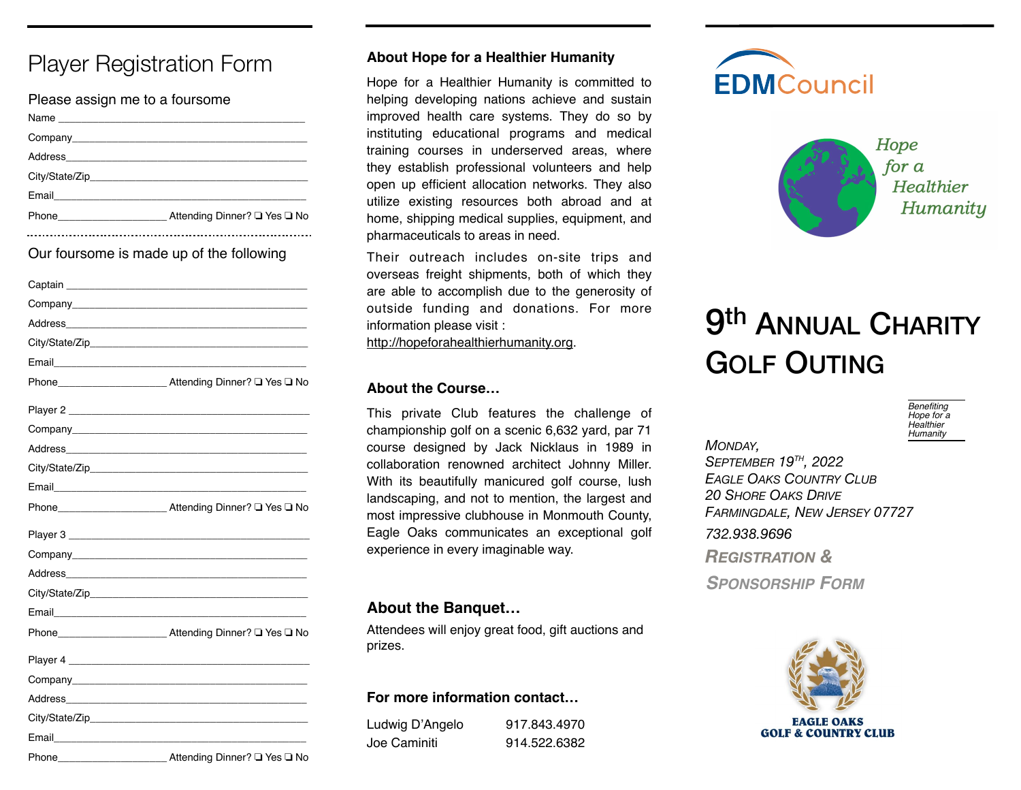# Player Registration Form

| Please assign me to a foursome |                              |
|--------------------------------|------------------------------|
|                                |                              |
|                                |                              |
|                                |                              |
|                                |                              |
|                                |                              |
| Phone <u>experience</u>        | Attending Dinner? □ Yes □ No |
|                                |                              |

Our foursome is made up of the following

|                                                                                                                | Phone <b>No.</b> Attending Dinner? □ Yes □ No.                                                                          |
|----------------------------------------------------------------------------------------------------------------|-------------------------------------------------------------------------------------------------------------------------|
|                                                                                                                |                                                                                                                         |
|                                                                                                                |                                                                                                                         |
|                                                                                                                | Address <b>Management Community and Community</b> and Community and Community and Community and Community and Community |
|                                                                                                                |                                                                                                                         |
|                                                                                                                |                                                                                                                         |
|                                                                                                                | Phone <b>No.</b> Attending Dinner? □ Yes □ No.                                                                          |
|                                                                                                                |                                                                                                                         |
|                                                                                                                |                                                                                                                         |
|                                                                                                                | Address <b>Management Community Community</b>                                                                           |
|                                                                                                                |                                                                                                                         |
| Email 2008 - 2008 - 2010 - 2010 - 2010 - 2010 - 2011 - 2012 - 2012 - 2013 - 2014 - 2014 - 2014 - 2014 - 2014 - |                                                                                                                         |
| Phone_                                                                                                         | __ Attending Dinner? □ Yes □ No                                                                                         |

#### **About Hope for a Healthier Humanity**

Hope for a Healthier Humanity is committed to helping developing nations achieve and sustain improved health care systems. They do so by instituting educational programs and medical training courses in underserved areas, where they establish professional volunteers and help open up efficient allocation networks. They also utilize existing resources both abroad and at home, shipping medical supplies, equipment, and pharmaceuticals to areas in need.

Their outreach includes on-site trips and overseas freight shipments, both of which they are able to accomplish due to the generosity of outside funding and donations. For more information please visit :

<http://hopeforahealthierhumanity.org>.

#### **About the Course…**

This private Club features the challenge of championship golf on a scenic 6,632 yard, par 71 course designed by Jack Nicklaus in 1989 in collaboration renowned architect Johnny Miller. With its beautifully manicured golf course, lush landscaping, and not to mention, the largest and most impressive clubhouse in Monmouth County, Eagle Oaks communicates an exceptional golf experience in every imaginable way.

# **About the Banquet…**

Attendees will enjoy great food, gift auctions and prizes.

#### **For more information contact…**

Ludwig D'Angelo 917.843.4970 Joe Caminiti 914.522.6382





# **9th ANNUAL CHARITY** GOLF OUTING



*MONDAY,* 

*SEPTEMBER 19TH, 2022 EAGLE OAKS COUNTRY CLUB 20 SHORE OAKS DRIVE FARMINGDALE, NEW JERSEY 07727 732.938.9696 REGISTRATION & SPONSORSHIP FORM*



**GOLF & COUNTRY CLUB**